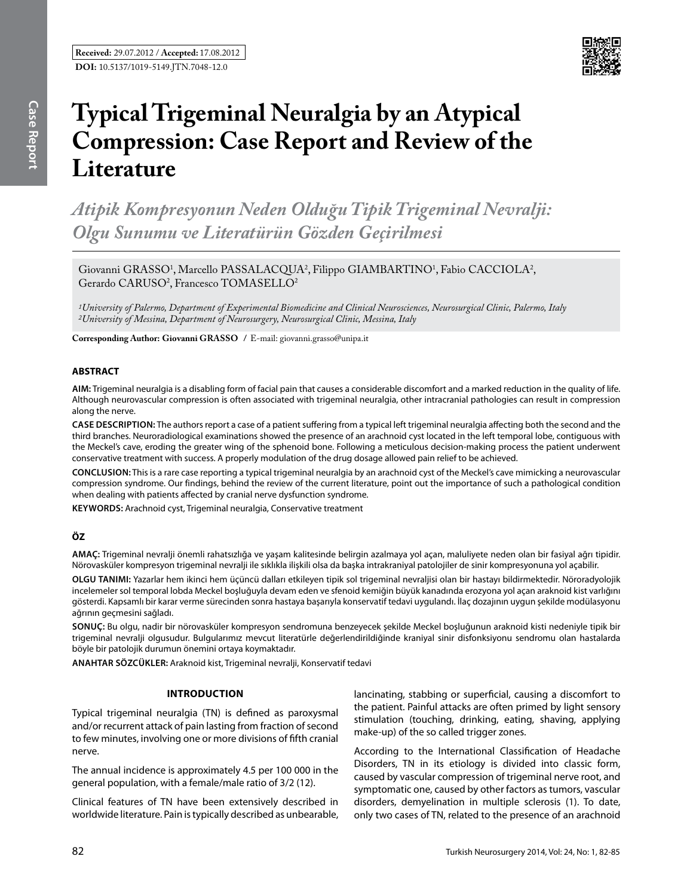

# **Typical Trigeminal Neuralgia by an Atypical Compression: Case Report and Review of the Literature**

*Atipik Kompresyonun Neden Olduğu Tipik Trigeminal Nevralji: Olgu Sunumu ve Literatürün Gözden Geçirilmesi*

Giovanni GRASSO<sup>1</sup>, Marcello PASSALACQUA<sup>2</sup>, Filippo GIAMBARTINO<sup>1</sup>, Fabio CACCIOLA<sup>2</sup>,  $G$ erardo  $CARUSO<sup>2</sup>$ , Francesco  $TOMASELLO<sup>2</sup>$ 

*1University of Palermo, Department of Experimental Biomedicine and Clinical Neurosciences, Neurosurgical Clinic, Palermo, Italy 2University of Messina, Department of Neurosurgery, Neurosurgical Clinic, Messina, Italy*

**Corresponding Author: Giovanni Grasso /** E-mail: giovanni.grasso@unipa.it

### **ABSTRACT**

**AIm:** Trigeminal neuralgia is a disabling form of facial pain that causes a considerable discomfort and a marked reduction in the quality of life. Although neurovascular compression is often associated with trigeminal neuralgia, other intracranial pathologies can result in compression along the nerve.

**Case descrIptıon:** The authors report a case of a patient suffering from a typical left trigeminal neuralgia affecting both the second and the third branches. Neuroradiological examinations showed the presence of an arachnoid cyst located in the left temporal lobe, contiguous with the Meckel's cave, eroding the greater wing of the sphenoid bone. Following a meticulous decision-making process the patient underwent conservative treatment with success. A properly modulation of the drug dosage allowed pain relief to be achieved.

**ConclusIon:** This is a rare case reporting a typical trigeminal neuralgia by an arachnoid cyst of the Meckel's cave mimicking a neurovascular compression syndrome. Our findings, behind the review of the current literature, point out the importance of such a pathological condition when dealing with patients affected by cranial nerve dysfunction syndrome.

KEYWORDS: Arachnoid cyst, Trigeminal neuralgia, Conservative treatment

## **ÖZ**

**AMAÇ:** Trigeminal nevralji önemli rahatsızlığa ve yaşam kalitesinde belirgin azalmaya yol açan, maluliyete neden olan bir fasiyal ağrı tipidir. Nörovasküler kompresyon trigeminal nevralji ile sıklıkla ilişkili olsa da başka intrakraniyal patolojiler de sinir kompresyonuna yol açabilir.

**OLGU tanImI:** Yazarlar hem ikinci hem üçüncü dalları etkileyen tipik sol trigeminal nevraljisi olan bir hastayı bildirmektedir. Nöroradyolojik incelemeler sol temporal lobda Meckel boşluğuyla devam eden ve sfenoid kemiğin büyük kanadında erozyona yol açan araknoid kist varlığını gösterdi. Kapsamlı bir karar verme sürecinden sonra hastaya başarıyla konservatif tedavi uygulandı. İlaç dozajının uygun şekilde modülasyonu ağrının geçmesini sağladı.

**SONUÇ:** Bu olgu, nadir bir nörovasküler kompresyon sendromuna benzeyecek şekilde Meckel boşluğunun araknoid kisti nedeniyle tipik bir trigeminal nevralji olgusudur. Bulgularımız mevcut literatürle değerlendirildiğinde kraniyal sinir disfonksiyonu sendromu olan hastalarda böyle bir patolojik durumun önemini ortaya koymaktadır.

**ANAHTAR SÖZCÜKLER:** Araknoid kist, Trigeminal nevralji, Konservatif tedavi

## **Introduction**

Typical trigeminal neuralgia (TN) is defined as paroxysmal and/or recurrent attack of pain lasting from fraction of second to few minutes, involving one or more divisions of fifth cranial nerve.

The annual incidence is approximately 4.5 per 100 000 in the general population, with a female/male ratio of 3/2 (12).

Clinical features of TN have been extensively described in worldwide literature. Pain is typically described as unbearable, lancinating, stabbing or superficial, causing a discomfort to the patient. Painful attacks are often primed by light sensory stimulation (touching, drinking, eating, shaving, applying make-up) of the so called trigger zones.

According to the International Classification of Headache Disorders, TN in its etiology is divided into classic form, caused by vascular compression of trigeminal nerve root, and symptomatic one, caused by other factors as tumors, vascular disorders, demyelination in multiple sclerosis (1). To date, only two cases of TN, related to the presence of an arachnoid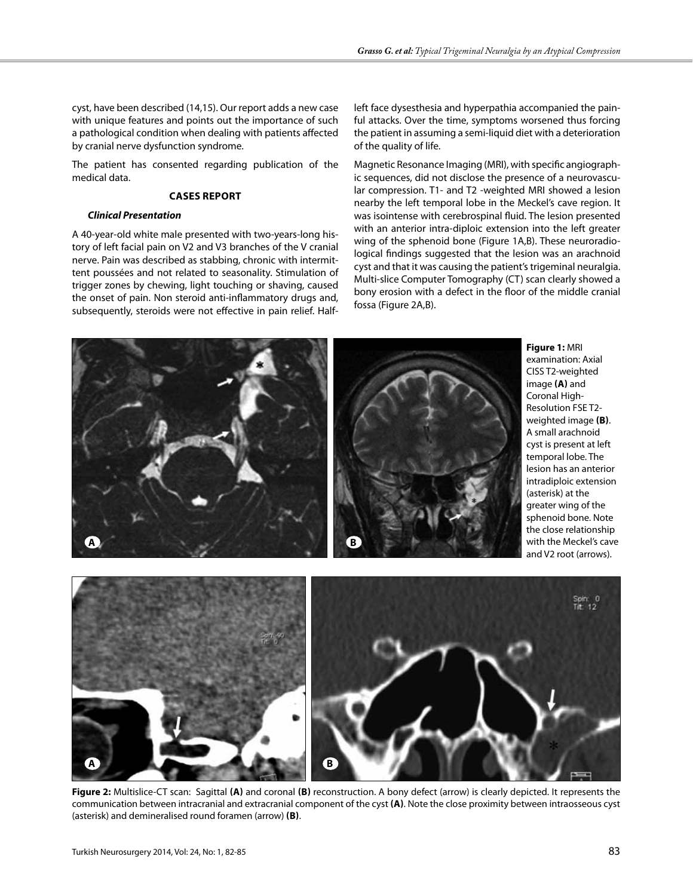cyst, have been described (14,15). Our report adds a new case with unique features and points out the importance of such a pathological condition when dealing with patients affected by cranial nerve dysfunction syndrome.

The patient has consented regarding publication of the medical data.

## **Cases report**

## *Clinical Presentation*

A 40-year-old white male presented with two-years-long history of left facial pain on V2 and V3 branches of the V cranial nerve. Pain was described as stabbing, chronic with intermittent poussées and not related to seasonality. Stimulation of trigger zones by chewing, light touching or shaving, caused the onset of pain. Non steroid anti-inflammatory drugs and, subsequently, steroids were not effective in pain relief. Half-

left face dysesthesia and hyperpathia accompanied the painful attacks. Over the time, symptoms worsened thus forcing the patient in assuming a semi-liquid diet with a deterioration of the quality of life.

Magnetic Resonance Imaging (MRI), with specific angiographic sequences, did not disclose the presence of a neurovascular compression. T1- and T2 -weighted MRI showed a lesion nearby the left temporal lobe in the Meckel's cave region. It was isointense with cerebrospinal fluid. The lesion presented with an anterior intra-diploic extension into the left greater wing of the sphenoid bone (Figure 1A,B). These neuroradiological findings suggested that the lesion was an arachnoid cyst and that it was causing the patient's trigeminal neuralgia. Multi-slice Computer Tomography (CT) scan clearly showed a bony erosion with a defect in the floor of the middle cranial fossa (Figure 2A,B).



**Figure 2:** Multislice-CT scan: Sagittal **(a)** and coronal **(b)** reconstruction. A bony defect (arrow) is clearly depicted. It represents the communication between intracranial and extracranial component of the cyst **(a)**. Note the close proximity between intraosseous cyst (asterisk) and demineralised round foramen (arrow) **(b)**.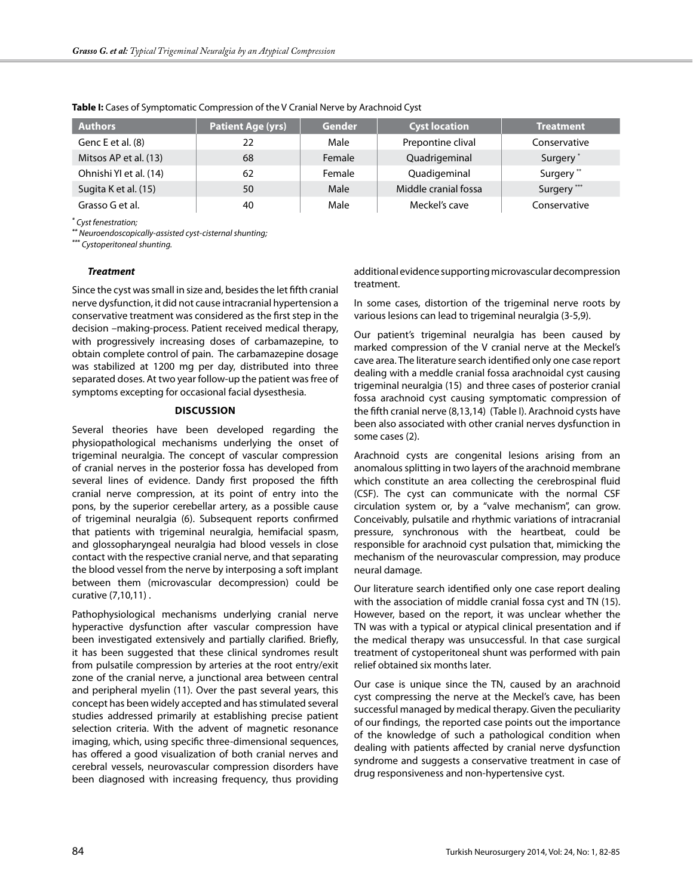| <b>Authors</b>         | <b>Patient Age (yrs)</b> | Gender | <b>Cyst location</b> | <b>Treatment</b>      |
|------------------------|--------------------------|--------|----------------------|-----------------------|
| Genc E et al. (8)      | 22                       | Male   | Prepontine clival    | Conservative          |
| Mitsos AP et al. (13)  | 68                       | Female | Quadrigeminal        | Surgery <sup>*</sup>  |
| Ohnishi Yl et al. (14) | 62                       | Female | Quadigeminal         | Surgery <sup>**</sup> |
| Sugita K et al. (15)   | 50                       | Male   | Middle cranial fossa | Surgery ***           |
| Grasso G et al.        | 40                       | Male   | Meckel's cave        | Conservative          |

**Table I:** Cases of Symptomatic Compression of the V Cranial Nerve by Arachnoid Cyst

*\* Cyst fenestration;*

*\*\* Neuroendoscopically-assisted cyst-cisternal shunting;*

*\*\*\* Cystoperitoneal shunting.* 

### *Treatment*

Since the cyst was small in size and, besides the let fifth cranial nerve dysfunction, it did not cause intracranial hypertension a conservative treatment was considered as the first step in the decision –making-process. Patient received medical therapy, with progressively increasing doses of carbamazepine, to obtain complete control of pain. The carbamazepine dosage was stabilized at 1200 mg per day, distributed into three separated doses. At two year follow-up the patient was free of symptoms excepting for occasional facial dysesthesia.

## **Discussion**

Several theories have been developed regarding the physiopathological mechanisms underlying the onset of trigeminal neuralgia. The concept of vascular compression of cranial nerves in the posterior fossa has developed from several lines of evidence. Dandy first proposed the fifth cranial nerve compression, at its point of entry into the pons, by the superior cerebellar artery, as a possible cause of trigeminal neuralgia (6). Subsequent reports confirmed that patients with trigeminal neuralgia, hemifacial spasm, and glossopharyngeal neuralgia had blood vessels in close contact with the respective cranial nerve, and that separating the blood vessel from the nerve by interposing a soft implant between them (microvascular decompression) could be curative (7,10,11) .

Pathophysiological mechanisms underlying cranial nerve hyperactive dysfunction after vascular compression have been investigated extensively and partially clarified. Briefly, it has been suggested that these clinical syndromes result from pulsatile compression by arteries at the root entry/exit zone of the cranial nerve, a junctional area between central and peripheral myelin (11). Over the past several years, this concept has been widely accepted and has stimulated several studies addressed primarily at establishing precise patient selection criteria. With the advent of magnetic resonance imaging, which, using specific three-dimensional sequences, has offered a good visualization of both cranial nerves and cerebral vessels, neurovascular compression disorders have been diagnosed with increasing frequency, thus providing additional evidence supporting microvascular decompression treatment.

In some cases, distortion of the trigeminal nerve roots by various lesions can lead to trigeminal neuralgia (3-5,9).

Our patient's trigeminal neuralgia has been caused by marked compression of the V cranial nerve at the Meckel's cave area. The literature search identified only one case report dealing with a meddle cranial fossa arachnoidal cyst causing trigeminal neuralgia (15) and three cases of posterior cranial fossa arachnoid cyst causing symptomatic compression of the fifth cranial nerve (8,13,14) (Table I). Arachnoid cysts have been also associated with other cranial nerves dysfunction in some cases (2).

Arachnoid cysts are congenital lesions arising from an anomalous splitting in two layers of the arachnoid membrane which constitute an area collecting the cerebrospinal fluid (CSF). The cyst can communicate with the normal CSF circulation system or, by a "valve mechanism", can grow. Conceivably, pulsatile and rhythmic variations of intracranial pressure, synchronous with the heartbeat, could be responsible for arachnoid cyst pulsation that, mimicking the mechanism of the neurovascular compression, may produce neural damage.

Our literature search identified only one case report dealing with the association of middle cranial fossa cyst and TN (15). However, based on the report, it was unclear whether the TN was with a typical or atypical clinical presentation and if the medical therapy was unsuccessful. In that case surgical treatment of cystoperitoneal shunt was performed with pain relief obtained six months later.

Our case is unique since the TN, caused by an arachnoid cyst compressing the nerve at the Meckel's cave, has been successful managed by medical therapy. Given the peculiarity of our findings, the reported case points out the importance of the knowledge of such a pathological condition when dealing with patients affected by cranial nerve dysfunction syndrome and suggests a conservative treatment in case of drug responsiveness and non-hypertensive cyst.